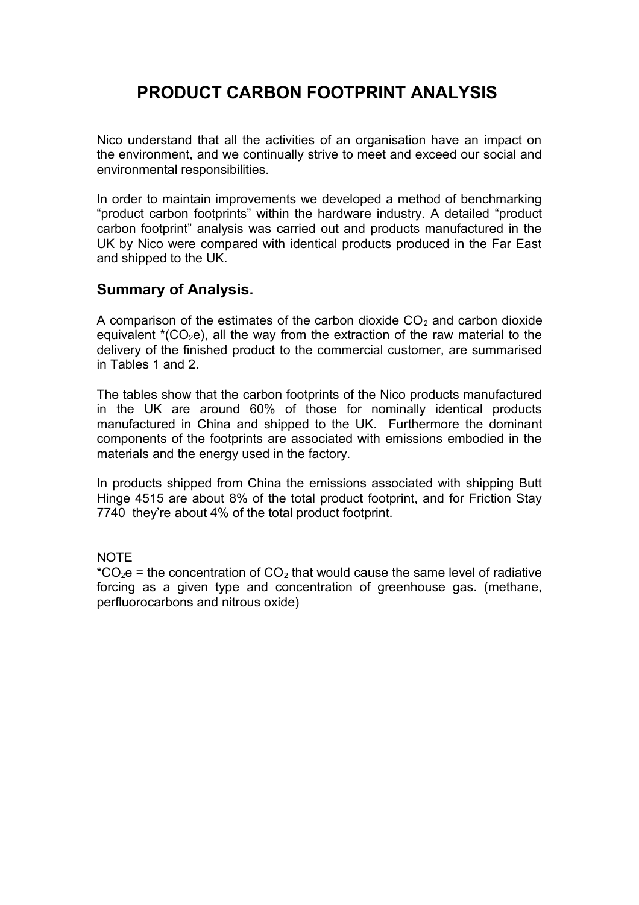# **PRODUCT CARBON FOOTPRINT ANALYSIS**

Nico understand that all the activities of an organisation have an impact on the environment, and we continually strive to meet and exceed our social and environmental responsibilities.

In order to maintain improvements we developed a method of benchmarking "product carbon footprints" within the hardware industry. A detailed "product carbon footprint" analysis was carried out and products manufactured in the UK by Nico were compared with identical products produced in the Far East and shipped to the UK.

#### **Summary of Analysis.**

A comparison of the estimates of the carbon dioxide  $CO<sub>2</sub>$  and carbon dioxide equivalent  $*(CO<sub>2</sub>e)$ , all the way from the extraction of the raw material to the delivery of the finished product to the commercial customer, are summarised in Tables 1 and 2.

The tables show that the carbon footprints of the Nico products manufactured in the UK are around 60% of those for nominally identical products manufactured in China and shipped to the UK. Furthermore the dominant components of the footprints are associated with emissions embodied in the materials and the energy used in the factory.

In products shipped from China the emissions associated with shipping Butt Hinge 4515 are about 8% of the total product footprint, and for Friction Stay 7740 they're about 4% of the total product footprint.

NOTE

 $^{\ast}CO_{2}e$  = the concentration of  $CO_{2}$  that would cause the same level of radiative forcing as a given type and concentration of greenhouse gas. (methane, perfluorocarbons and nitrous oxide)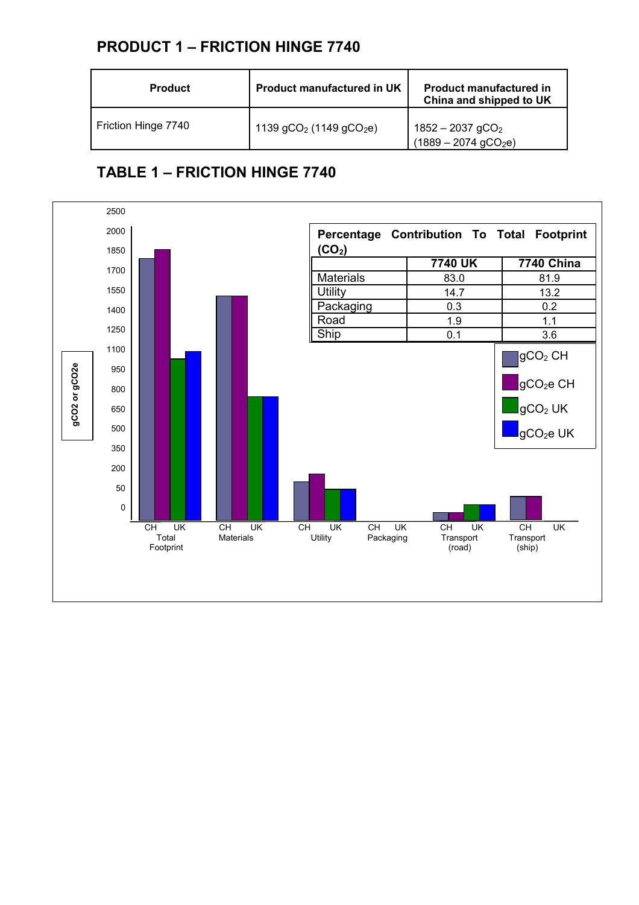# **PRODUCT 1 – FRICTION HINGE 7740**

| <b>Product</b>      | <b>Product manufactured in UK</b> | <b>Product manufactured in</b><br>China and shipped to UK        |
|---------------------|-----------------------------------|------------------------------------------------------------------|
| Friction Hinge 7740 | 1139 $gCO2$ (1149 $gCO2e$ )       | $1852 - 2037$ gCO <sub>2</sub><br>$(1889 - 2074 \text{ gCO}_2e)$ |

# **TABLE 1 – FRICTION HINGE 7740**